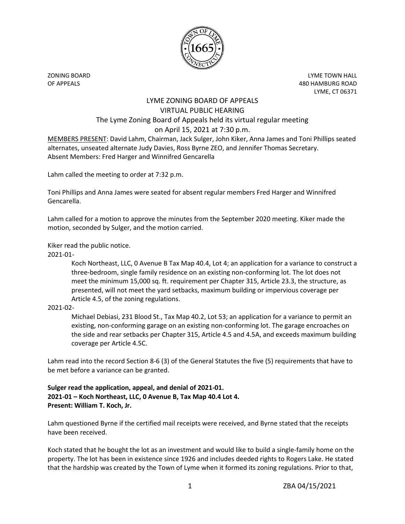

ZONING BOARD LYME TOWN HALL OF APPEALS 480 HAMBURG ROAD LYME, CT 06371

## LYME ZONING BOARD OF APPEALS VIRTUAL PUBLIC HEARING The Lyme Zoning Board of Appeals held its virtual regular meeting on April 15, 2021 at 7:30 p.m.

MEMBERS PRESENT: David Lahm, Chairman, Jack Sulger, John Kiker, Anna James and Toni Phillips seated alternates, unseated alternate Judy Davies, Ross Byrne ZEO, and Jennifer Thomas Secretary. Absent Members: Fred Harger and Winnifred Gencarella

Lahm called the meeting to order at 7:32 p.m.

Toni Phillips and Anna James were seated for absent regular members Fred Harger and Winnifred Gencarella.

Lahm called for a motion to approve the minutes from the September 2020 meeting. Kiker made the motion, seconded by Sulger, and the motion carried.

Kiker read the public notice.

2021-01-

Koch Northeast, LLC, 0 Avenue B Tax Map 40.4, Lot 4; an application for a variance to construct a three-bedroom, single family residence on an existing non-conforming lot. The lot does not meet the minimum 15,000 sq. ft. requirement per Chapter 315, Article 23.3, the structure, as presented, will not meet the yard setbacks, maximum building or impervious coverage per Article 4.5, of the zoning regulations.

## 2021-02-

Michael Debiasi, 231 Blood St., Tax Map 40.2, Lot 53; an application for a variance to permit an existing, non-conforming garage on an existing non-conforming lot. The garage encroaches on the side and rear setbacks per Chapter 315, Article 4.5 and 4.5A, and exceeds maximum building coverage per Article 4.5C.

Lahm read into the record Section 8-6 (3) of the General Statutes the five (5) requirements that have to be met before a variance can be granted.

## **Sulger read the application, appeal, and denial of 2021-01. 2021-01 – Koch Northeast, LLC, 0 Avenue B, Tax Map 40.4 Lot 4. Present: William T. Koch, Jr.**

Lahm questioned Byrne if the certified mail receipts were received, and Byrne stated that the receipts have been received.

Koch stated that he bought the lot as an investment and would like to build a single-family home on the property. The lot has been in existence since 1926 and includes deeded rights to Rogers Lake. He stated that the hardship was created by the Town of Lyme when it formed its zoning regulations. Prior to that,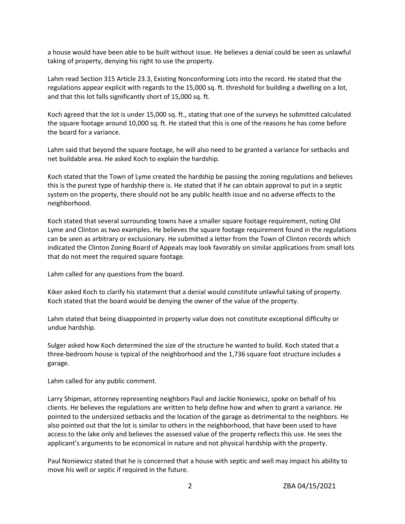a house would have been able to be built without issue. He believes a denial could be seen as unlawful taking of property, denying his right to use the property.

Lahm read Section 315 Article 23.3, Existing Nonconforming Lots into the record. He stated that the regulations appear explicit with regards to the 15,000 sq. ft. threshold for building a dwelling on a lot, and that this lot falls significantly short of 15,000 sq. ft.

Koch agreed that the lot is under 15,000 sq. ft., stating that one of the surveys he submitted calculated the square footage around 10,000 sq. ft. He stated that this is one of the reasons he has come before the board for a variance.

Lahm said that beyond the square footage, he will also need to be granted a variance for setbacks and net buildable area. He asked Koch to explain the hardship.

Koch stated that the Town of Lyme created the hardship be passing the zoning regulations and believes this is the purest type of hardship there is. He stated that if he can obtain approval to put in a septic system on the property, there should not be any public health issue and no adverse effects to the neighborhood.

Koch stated that several surrounding towns have a smaller square footage requirement, noting Old Lyme and Clinton as two examples. He believes the square footage requirement found in the regulations can be seen as arbitrary or exclusionary. He submitted a letter from the Town of Clinton records which indicated the Clinton Zoning Board of Appeals may look favorably on similar applications from small lots that do not meet the required square footage.

Lahm called for any questions from the board.

Kiker asked Koch to clarify his statement that a denial would constitute unlawful taking of property. Koch stated that the board would be denying the owner of the value of the property.

Lahm stated that being disappointed in property value does not constitute exceptional difficulty or undue hardship.

Sulger asked how Koch determined the size of the structure he wanted to build. Koch stated that a three-bedroom house is typical of the neighborhood and the 1,736 square foot structure includes a garage.

Lahm called for any public comment.

Larry Shipman, attorney representing neighbors Paul and Jackie Noniewicz, spoke on behalf of his clients. He believes the regulations are written to help define how and when to grant a variance. He pointed to the undersized setbacks and the location of the garage as detrimental to the neighbors. He also pointed out that the lot is similar to others in the neighborhood, that have been used to have access to the lake only and believes the assessed value of the property reflects this use. He sees the applicant's arguments to be economical in nature and not physical hardship with the property.

Paul Noniewicz stated that he is concerned that a house with septic and well may impact his ability to move his well or septic if required in the future.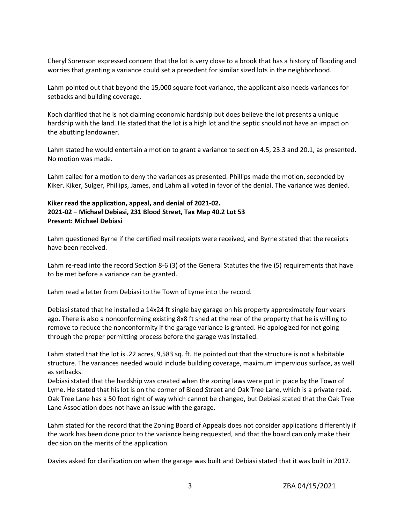Cheryl Sorenson expressed concern that the lot is very close to a brook that has a history of flooding and worries that granting a variance could set a precedent for similar sized lots in the neighborhood.

Lahm pointed out that beyond the 15,000 square foot variance, the applicant also needs variances for setbacks and building coverage.

Koch clarified that he is not claiming economic hardship but does believe the lot presents a unique hardship with the land. He stated that the lot is a high lot and the septic should not have an impact on the abutting landowner.

Lahm stated he would entertain a motion to grant a variance to section 4.5, 23.3 and 20.1, as presented. No motion was made.

Lahm called for a motion to deny the variances as presented. Phillips made the motion, seconded by Kiker. Kiker, Sulger, Phillips, James, and Lahm all voted in favor of the denial. The variance was denied.

## **Kiker read the application, appeal, and denial of 2021-02. 2021-02 – Michael Debiasi, 231 Blood Street, Tax Map 40.2 Lot 53 Present: Michael Debiasi**

Lahm questioned Byrne if the certified mail receipts were received, and Byrne stated that the receipts have been received.

Lahm re-read into the record Section 8-6 (3) of the General Statutes the five (5) requirements that have to be met before a variance can be granted.

Lahm read a letter from Debiasi to the Town of Lyme into the record.

Debiasi stated that he installed a 14x24 ft single bay garage on his property approximately four years ago. There is also a nonconforming existing 8x8 ft shed at the rear of the property that he is willing to remove to reduce the nonconformity if the garage variance is granted. He apologized for not going through the proper permitting process before the garage was installed.

Lahm stated that the lot is .22 acres, 9,583 sq. ft. He pointed out that the structure is not a habitable structure. The variances needed would include building coverage, maximum impervious surface, as well as setbacks.

Debiasi stated that the hardship was created when the zoning laws were put in place by the Town of Lyme. He stated that his lot is on the corner of Blood Street and Oak Tree Lane, which is a private road. Oak Tree Lane has a 50 foot right of way which cannot be changed, but Debiasi stated that the Oak Tree Lane Association does not have an issue with the garage.

Lahm stated for the record that the Zoning Board of Appeals does not consider applications differently if the work has been done prior to the variance being requested, and that the board can only make their decision on the merits of the application.

Davies asked for clarification on when the garage was built and Debiasi stated that it was built in 2017.